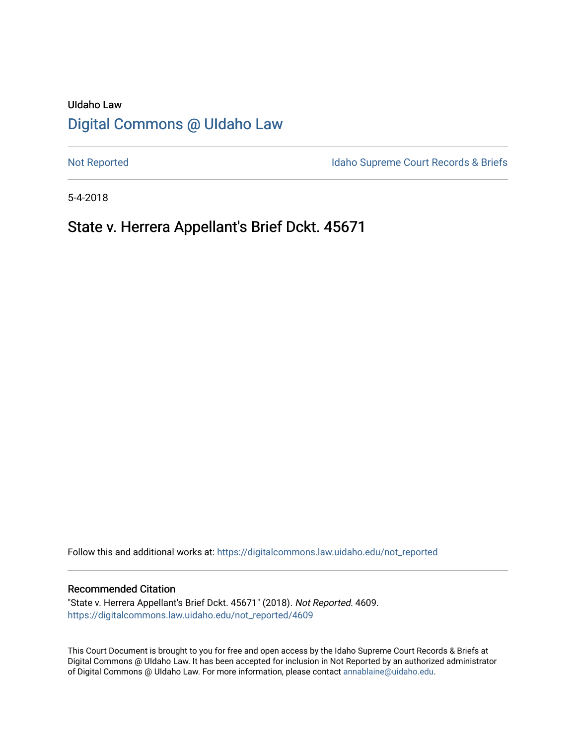# UIdaho Law [Digital Commons @ UIdaho Law](https://digitalcommons.law.uidaho.edu/)

[Not Reported](https://digitalcommons.law.uidaho.edu/not_reported) **Idaho Supreme Court Records & Briefs** 

5-4-2018

# State v. Herrera Appellant's Brief Dckt. 45671

Follow this and additional works at: [https://digitalcommons.law.uidaho.edu/not\\_reported](https://digitalcommons.law.uidaho.edu/not_reported?utm_source=digitalcommons.law.uidaho.edu%2Fnot_reported%2F4609&utm_medium=PDF&utm_campaign=PDFCoverPages) 

#### Recommended Citation

"State v. Herrera Appellant's Brief Dckt. 45671" (2018). Not Reported. 4609. [https://digitalcommons.law.uidaho.edu/not\\_reported/4609](https://digitalcommons.law.uidaho.edu/not_reported/4609?utm_source=digitalcommons.law.uidaho.edu%2Fnot_reported%2F4609&utm_medium=PDF&utm_campaign=PDFCoverPages)

This Court Document is brought to you for free and open access by the Idaho Supreme Court Records & Briefs at Digital Commons @ UIdaho Law. It has been accepted for inclusion in Not Reported by an authorized administrator of Digital Commons @ UIdaho Law. For more information, please contact [annablaine@uidaho.edu](mailto:annablaine@uidaho.edu).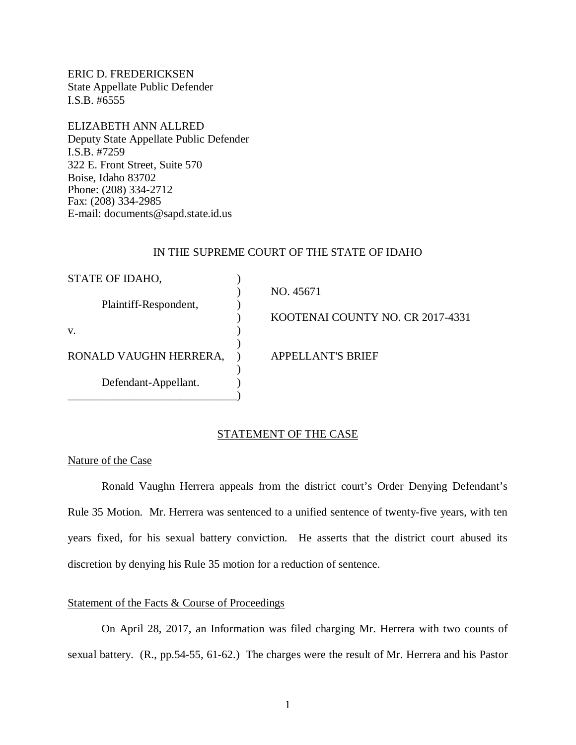ERIC D. FREDERICKSEN State Appellate Public Defender I.S.B. #6555

ELIZABETH ANN ALLRED Deputy State Appellate Public Defender I.S.B. #7259 322 E. Front Street, Suite 570 Boise, Idaho 83702 Phone: (208) 334-2712 Fax: (208) 334-2985 E-mail: documents@sapd.state.id.us

#### IN THE SUPREME COURT OF THE STATE OF IDAHO

| STATE OF IDAHO,        |                                  |
|------------------------|----------------------------------|
|                        | NO. 45671                        |
| Plaintiff-Respondent,  |                                  |
|                        | KOOTENAI COUNTY NO. CR 2017-4331 |
| V.                     |                                  |
|                        |                                  |
| RONALD VAUGHN HERRERA, | APPELLANT'S BRIEF                |
|                        |                                  |
| Defendant-Appellant.   |                                  |
|                        |                                  |

## STATEMENT OF THE CASE

Nature of the Case

Ronald Vaughn Herrera appeals from the district court's Order Denying Defendant's Rule 35 Motion. Mr. Herrera was sentenced to a unified sentence of twenty-five years, with ten years fixed, for his sexual battery conviction. He asserts that the district court abused its discretion by denying his Rule 35 motion for a reduction of sentence.

#### Statement of the Facts & Course of Proceedings

On April 28, 2017, an Information was filed charging Mr. Herrera with two counts of sexual battery. (R., pp.54-55, 61-62.) The charges were the result of Mr. Herrera and his Pastor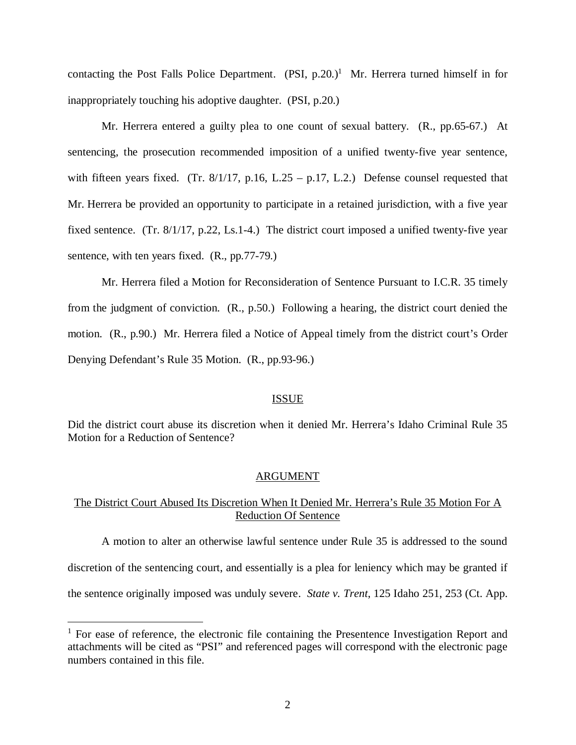contacting the Post Falls Police Department.  $(PSI, p.20.)$ <sup>[1](#page-2-0)</sup> Mr. Herrera turned himself in for inappropriately touching his adoptive daughter. (PSI, p.20.)

Mr. Herrera entered a guilty plea to one count of sexual battery. (R., pp.65-67.) At sentencing, the prosecution recommended imposition of a unified twenty-five year sentence, with fifteen years fixed. (Tr.  $8/1/17$ , p.16, L.25 – p.17, L.2.) Defense counsel requested that Mr. Herrera be provided an opportunity to participate in a retained jurisdiction, with a five year fixed sentence. (Tr. 8/1/17, p.22, Ls.1-4.) The district court imposed a unified twenty-five year sentence, with ten years fixed. (R., pp.77-79.)

Mr. Herrera filed a Motion for Reconsideration of Sentence Pursuant to I.C.R. 35 timely from the judgment of conviction. (R., p.50.) Following a hearing, the district court denied the motion. (R., p.90.) Mr. Herrera filed a Notice of Appeal timely from the district court's Order Denying Defendant's Rule 35 Motion. (R., pp.93-96.)

#### ISSUE

Did the district court abuse its discretion when it denied Mr. Herrera's Idaho Criminal Rule 35 Motion for a Reduction of Sentence?

#### ARGUMENT

### The District Court Abused Its Discretion When It Denied Mr. Herrera's Rule 35 Motion For A Reduction Of Sentence

A motion to alter an otherwise lawful sentence under Rule 35 is addressed to the sound discretion of the sentencing court, and essentially is a plea for leniency which may be granted if the sentence originally imposed was unduly severe. *State v. Trent*, 125 Idaho 251, 253 (Ct. App.

<span id="page-2-0"></span><sup>&</sup>lt;sup>1</sup> For ease of reference, the electronic file containing the Presentence Investigation Report and attachments will be cited as "PSI" and referenced pages will correspond with the electronic page numbers contained in this file.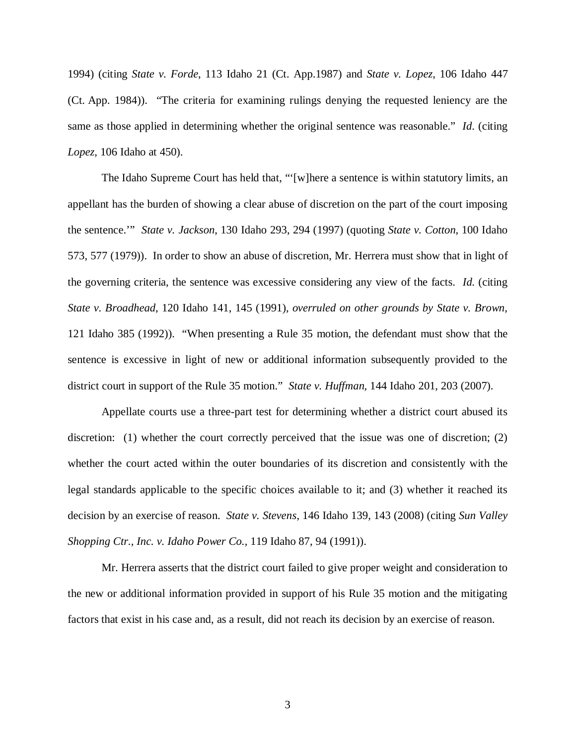1994) (citing *State v. Forde*, 113 Idaho 21 (Ct. App.1987) and *State v. Lopez*, 106 Idaho 447 (Ct. App. 1984)). "The criteria for examining rulings denying the requested leniency are the same as those applied in determining whether the original sentence was reasonable." *Id*. (citing *Lopez*, 106 Idaho at 450).

The Idaho Supreme Court has held that, "'[w]here a sentence is within statutory limits, an appellant has the burden of showing a clear abuse of discretion on the part of the court imposing the sentence.'" *State v. Jackson*, 130 Idaho 293, 294 (1997) (quoting *State v. Cotton*, 100 Idaho 573, 577 (1979)). In order to show an abuse of discretion, Mr. Herrera must show that in light of the governing criteria, the sentence was excessive considering any view of the facts. *Id*. (citing *State v. Broadhead*, 120 Idaho 141, 145 (1991), *overruled on other grounds by State v. Brown*, 121 Idaho 385 (1992)). "When presenting a Rule 35 motion, the defendant must show that the sentence is excessive in light of new or additional information subsequently provided to the district court in support of the Rule 35 motion." *State v. Huffman*, 144 Idaho 201, 203 (2007).

Appellate courts use a three-part test for determining whether a district court abused its discretion: (1) whether the court correctly perceived that the issue was one of discretion; (2) whether the court acted within the outer boundaries of its discretion and consistently with the legal standards applicable to the specific choices available to it; and (3) whether it reached its decision by an exercise of reason. *State v. Stevens*, 146 Idaho 139, 143 (2008) (citing *[Sun Valley](https://a.next.westlaw.com/Link/Document/FullText?findType=Y&serNum=1991020453&pubNum=661&originatingDoc=Ib1fc665a58e011ddbc7bf97f340af743&refType=RP&fi=co_pp_sp_661_1000&originationContext=document&transitionType=DocumentItem&contextData=(sc.Folder*cid.e4ef799cd44b4f4184ec493464b042f9*oc.Search)#co_pp_sp_661_1000) [Shopping Ctr., Inc. v. Idaho Power Co.,](https://a.next.westlaw.com/Link/Document/FullText?findType=Y&serNum=1991020453&pubNum=661&originatingDoc=Ib1fc665a58e011ddbc7bf97f340af743&refType=RP&fi=co_pp_sp_661_1000&originationContext=document&transitionType=DocumentItem&contextData=(sc.Folder*cid.e4ef799cd44b4f4184ec493464b042f9*oc.Search)#co_pp_sp_661_1000)* 119 Idaho 87, 94 (1991)).

Mr. Herrera asserts that the district court failed to give proper weight and consideration to the new or additional information provided in support of his Rule 35 motion and the mitigating factors that exist in his case and, as a result, did not reach its decision by an exercise of reason.

3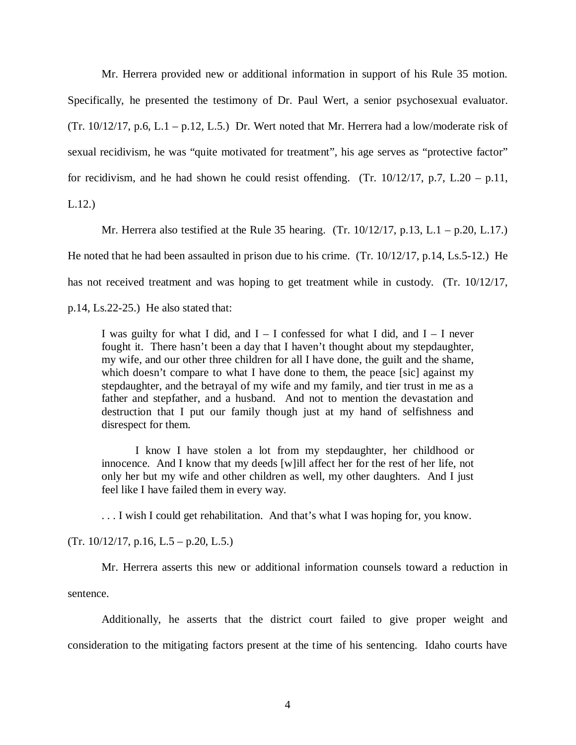Mr. Herrera provided new or additional information in support of his Rule 35 motion. Specifically, he presented the testimony of Dr. Paul Wert, a senior psychosexual evaluator. (Tr. 10/12/17, p.6, L.1 – p.12, L.5.) Dr. Wert noted that Mr. Herrera had a low/moderate risk of sexual recidivism, he was "quite motivated for treatment", his age serves as "protective factor" for recidivism, and he had shown he could resist offending. (Tr.  $10/12/17$ , p.7, L.20 – p.11, L.12.)

Mr. Herrera also testified at the Rule 35 hearing. (Tr. 10/12/17, p.13, L.1 – p.20, L.17.) He noted that he had been assaulted in prison due to his crime. (Tr. 10/12/17, p.14, Ls.5-12.) He has not received treatment and was hoping to get treatment while in custody. (Tr. 10/12/17, p.14, Ls.22-25.) He also stated that:

I was guilty for what I did, and  $I - I$  confessed for what I did, and  $I - I$  never fought it. There hasn't been a day that I haven't thought about my stepdaughter, my wife, and our other three children for all I have done, the guilt and the shame, which doesn't compare to what I have done to them, the peace [sic] against my stepdaughter, and the betrayal of my wife and my family, and tier trust in me as a father and stepfather, and a husband. And not to mention the devastation and destruction that I put our family though just at my hand of selfishness and disrespect for them.

I know I have stolen a lot from my stepdaughter, her childhood or innocence. And I know that my deeds [w]ill affect her for the rest of her life, not only her but my wife and other children as well, my other daughters. And I just feel like I have failed them in every way.

. . . I wish I could get rehabilitation. And that's what I was hoping for, you know.

 $(Tr. 10/12/17, p.16, L.5 - p.20, L.5.)$ 

Mr. Herrera asserts this new or additional information counsels toward a reduction in sentence.

Additionally, he asserts that the district court failed to give proper weight and consideration to the mitigating factors present at the time of his sentencing. Idaho courts have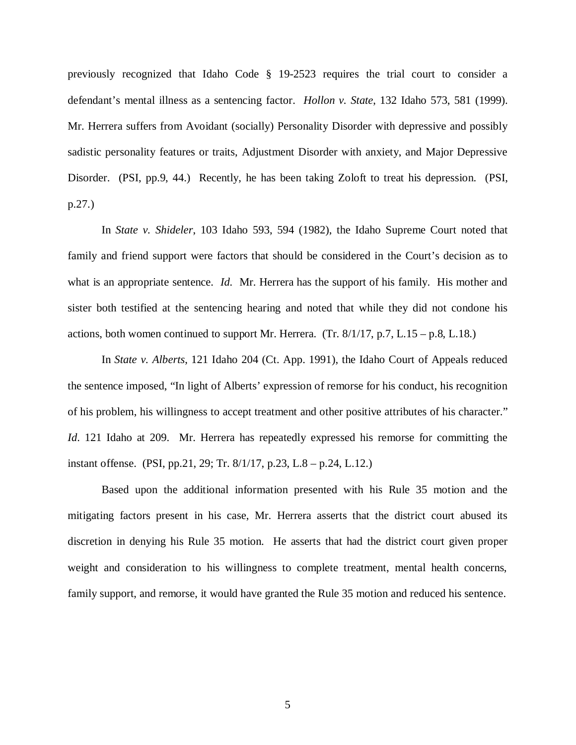previously recognized that Idaho Code § 19-2523 requires the trial court to consider a defendant's mental illness as a sentencing factor. *Hollon v. State*, 132 Idaho 573, 581 (1999). Mr. Herrera suffers from Avoidant (socially) Personality Disorder with depressive and possibly sadistic personality features or traits, Adjustment Disorder with anxiety, and Major Depressive Disorder. (PSI, pp.9, 44.) Recently, he has been taking Zoloft to treat his depression. (PSI, p.27.)

In *State v. Shideler*, 103 Idaho 593, 594 (1982), the Idaho Supreme Court noted that family and friend support were factors that should be considered in the Court's decision as to what is an appropriate sentence. *Id.* Mr. Herrera has the support of his family. His mother and sister both testified at the sentencing hearing and noted that while they did not condone his actions, both women continued to support Mr. Herrera. (Tr.  $8/1/17$ , p.7, L.15 – p.8, L.18.)

In *State v. Alberts*, 121 Idaho 204 (Ct. App. 1991), the Idaho Court of Appeals reduced the sentence imposed, "In light of Alberts' expression of remorse for his conduct, his recognition of his problem, his willingness to accept treatment and other positive attributes of his character." *Id*. 121 Idaho at 209. Mr. Herrera has repeatedly expressed his remorse for committing the instant offense. (PSI, pp.21, 29; Tr. 8/1/17, p.23, L.8 – p.24, L.12.)

Based upon the additional information presented with his Rule 35 motion and the mitigating factors present in his case, Mr. Herrera asserts that the district court abused its discretion in denying his Rule 35 motion. He asserts that had the district court given proper weight and consideration to his willingness to complete treatment, mental health concerns, family support, and remorse, it would have granted the Rule 35 motion and reduced his sentence.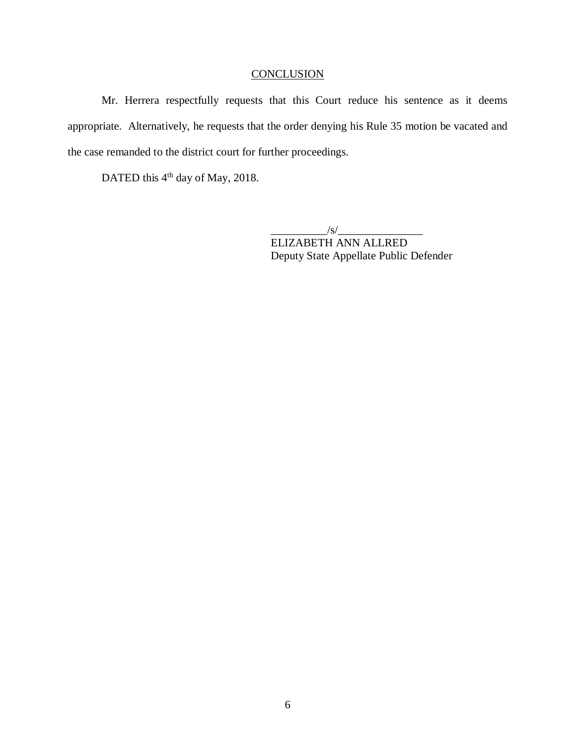# **CONCLUSION**

Mr. Herrera respectfully requests that this Court reduce his sentence as it deems appropriate. Alternatively, he requests that the order denying his Rule 35 motion be vacated and the case remanded to the district court for further proceedings.

DATED this 4<sup>th</sup> day of May, 2018.

 $\frac{1}{s}$  /s/ $\frac{1}{s}$ ELIZABETH ANN ALLRED Deputy State Appellate Public Defender